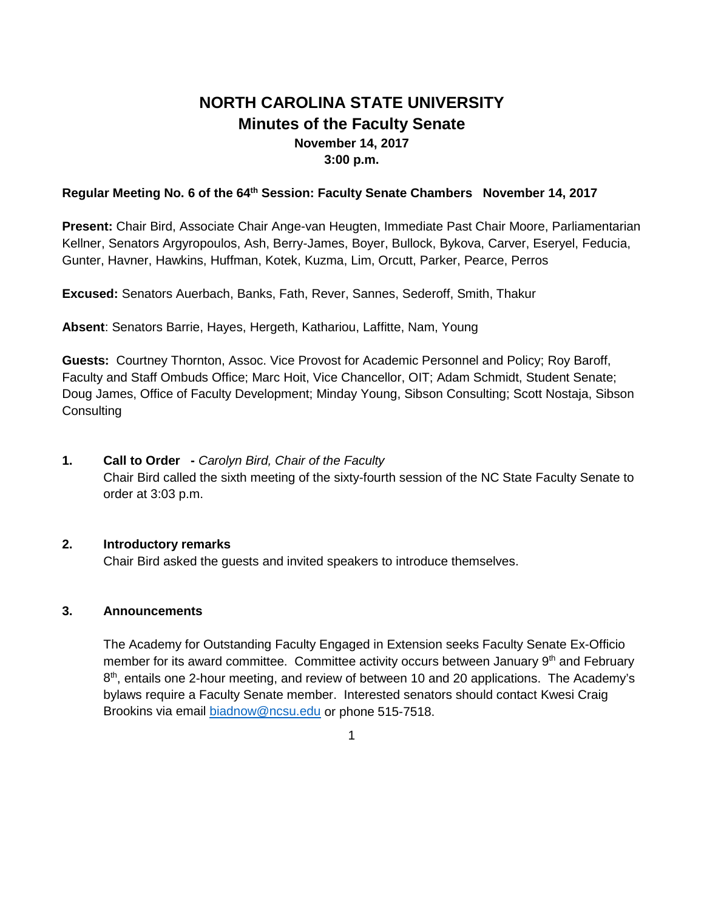# **NORTH CAROLINA STATE UNIVERSITY Minutes of the Faculty Senate November 14, 2017 3:00 p.m.**

#### **Regular Meeting No. 6 of the 64th Session: Faculty Senate Chambers November 14, 2017**

**Present:** Chair Bird, Associate Chair Ange-van Heugten, Immediate Past Chair Moore, Parliamentarian Kellner, Senators Argyropoulos, Ash, Berry-James, Boyer, Bullock, Bykova, Carver, Eseryel, Feducia, Gunter, Havner, Hawkins, Huffman, Kotek, Kuzma, Lim, Orcutt, Parker, Pearce, Perros

**Excused:** Senators Auerbach, Banks, Fath, Rever, Sannes, Sederoff, Smith, Thakur

**Absent**: Senators Barrie, Hayes, Hergeth, Kathariou, Laffitte, Nam, Young

**Guests:** Courtney Thornton, Assoc. Vice Provost for Academic Personnel and Policy; Roy Baroff, Faculty and Staff Ombuds Office; Marc Hoit, Vice Chancellor, OIT; Adam Schmidt, Student Senate; Doug James, Office of Faculty Development; Minday Young, Sibson Consulting; Scott Nostaja, Sibson **Consulting** 

**1. Call to Order -** *Carolyn Bird, Chair of the Faculty* Chair Bird called the sixth meeting of the sixty-fourth session of the NC State Faculty Senate to order at 3:03 p.m.

#### **2. Introductory remarks**

Chair Bird asked the guests and invited speakers to introduce themselves.

#### **3. Announcements**

The Academy for Outstanding Faculty Engaged in Extension seeks Faculty Senate Ex-Officio member for its award committee. Committee activity occurs between January  $9<sup>th</sup>$  and February  $8<sup>th</sup>$ , entails one 2-hour meeting, and review of between 10 and 20 applications. The Academy's bylaws require a Faculty Senate member. Interested senators should contact Kwesi Craig Brookins via email [biadnow@ncsu.edu](mailto:biadnow@ncsu.edu) or phone 515-7518.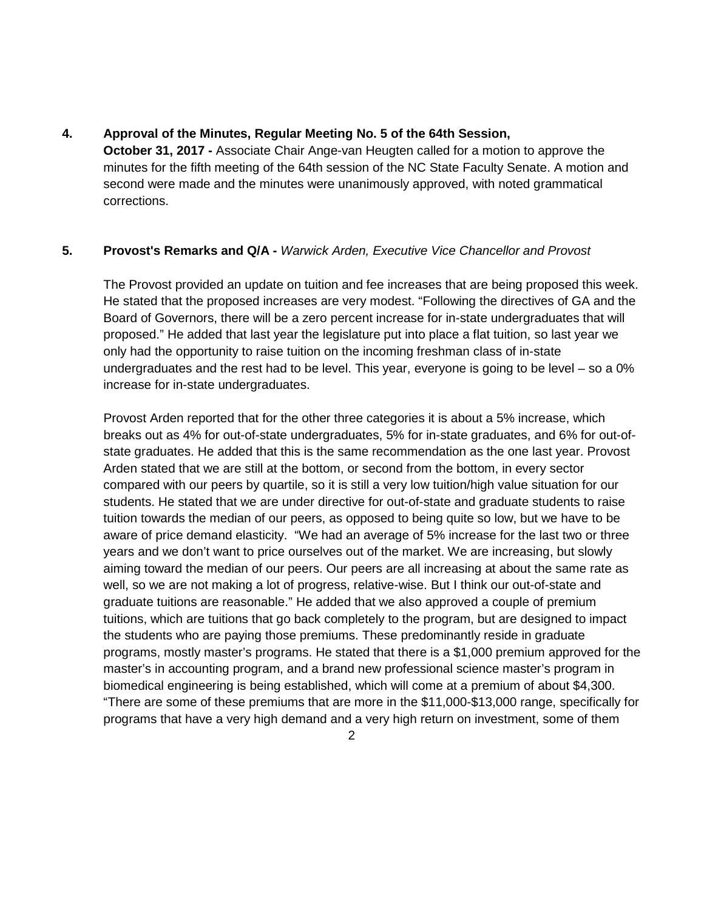#### **4. Approval of the Minutes, Regular Meeting No. 5 of the 64th Session,**

**October 31, 2017 -** Associate Chair Ange-van Heugten called for a motion to approve the minutes for the fifth meeting of the 64th session of the NC State Faculty Senate. A motion and second were made and the minutes were unanimously approved, with noted grammatical corrections.

## **5. Provost's Remarks and Q/A -** *Warwick Arden, Executive Vice Chancellor and Provost*

The Provost provided an update on tuition and fee increases that are being proposed this week. He stated that the proposed increases are very modest. "Following the directives of GA and the Board of Governors, there will be a zero percent increase for in-state undergraduates that will proposed." He added that last year the legislature put into place a flat tuition, so last year we only had the opportunity to raise tuition on the incoming freshman class of in-state undergraduates and the rest had to be level. This year, everyone is going to be level – so a 0% increase for in-state undergraduates.

Provost Arden reported that for the other three categories it is about a 5% increase, which breaks out as 4% for out-of-state undergraduates, 5% for in-state graduates, and 6% for out-ofstate graduates. He added that this is the same recommendation as the one last year. Provost Arden stated that we are still at the bottom, or second from the bottom, in every sector compared with our peers by quartile, so it is still a very low tuition/high value situation for our students. He stated that we are under directive for out-of-state and graduate students to raise tuition towards the median of our peers, as opposed to being quite so low, but we have to be aware of price demand elasticity. "We had an average of 5% increase for the last two or three years and we don't want to price ourselves out of the market. We are increasing, but slowly aiming toward the median of our peers. Our peers are all increasing at about the same rate as well, so we are not making a lot of progress, relative-wise. But I think our out-of-state and graduate tuitions are reasonable." He added that we also approved a couple of premium tuitions, which are tuitions that go back completely to the program, but are designed to impact the students who are paying those premiums. These predominantly reside in graduate programs, mostly master's programs. He stated that there is a \$1,000 premium approved for the master's in accounting program, and a brand new professional science master's program in biomedical engineering is being established, which will come at a premium of about \$4,300. "There are some of these premiums that are more in the \$11,000-\$13,000 range, specifically for programs that have a very high demand and a very high return on investment, some of them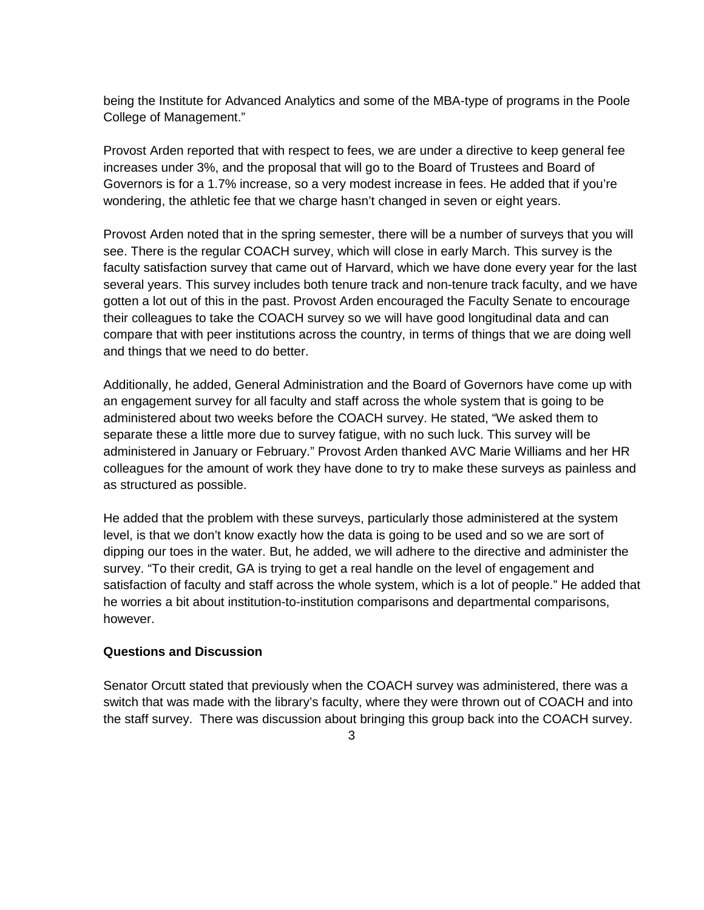being the Institute for Advanced Analytics and some of the MBA-type of programs in the Poole College of Management."

Provost Arden reported that with respect to fees, we are under a directive to keep general fee increases under 3%, and the proposal that will go to the Board of Trustees and Board of Governors is for a 1.7% increase, so a very modest increase in fees. He added that if you're wondering, the athletic fee that we charge hasn't changed in seven or eight years.

Provost Arden noted that in the spring semester, there will be a number of surveys that you will see. There is the regular COACH survey, which will close in early March. This survey is the faculty satisfaction survey that came out of Harvard, which we have done every year for the last several years. This survey includes both tenure track and non-tenure track faculty, and we have gotten a lot out of this in the past. Provost Arden encouraged the Faculty Senate to encourage their colleagues to take the COACH survey so we will have good longitudinal data and can compare that with peer institutions across the country, in terms of things that we are doing well and things that we need to do better.

Additionally, he added, General Administration and the Board of Governors have come up with an engagement survey for all faculty and staff across the whole system that is going to be administered about two weeks before the COACH survey. He stated, "We asked them to separate these a little more due to survey fatigue, with no such luck. This survey will be administered in January or February." Provost Arden thanked AVC Marie Williams and her HR colleagues for the amount of work they have done to try to make these surveys as painless and as structured as possible.

He added that the problem with these surveys, particularly those administered at the system level, is that we don't know exactly how the data is going to be used and so we are sort of dipping our toes in the water. But, he added, we will adhere to the directive and administer the survey. "To their credit, GA is trying to get a real handle on the level of engagement and satisfaction of faculty and staff across the whole system, which is a lot of people." He added that he worries a bit about institution-to-institution comparisons and departmental comparisons, however.

#### **Questions and Discussion**

Senator Orcutt stated that previously when the COACH survey was administered, there was a switch that was made with the library's faculty, where they were thrown out of COACH and into the staff survey. There was discussion about bringing this group back into the COACH survey.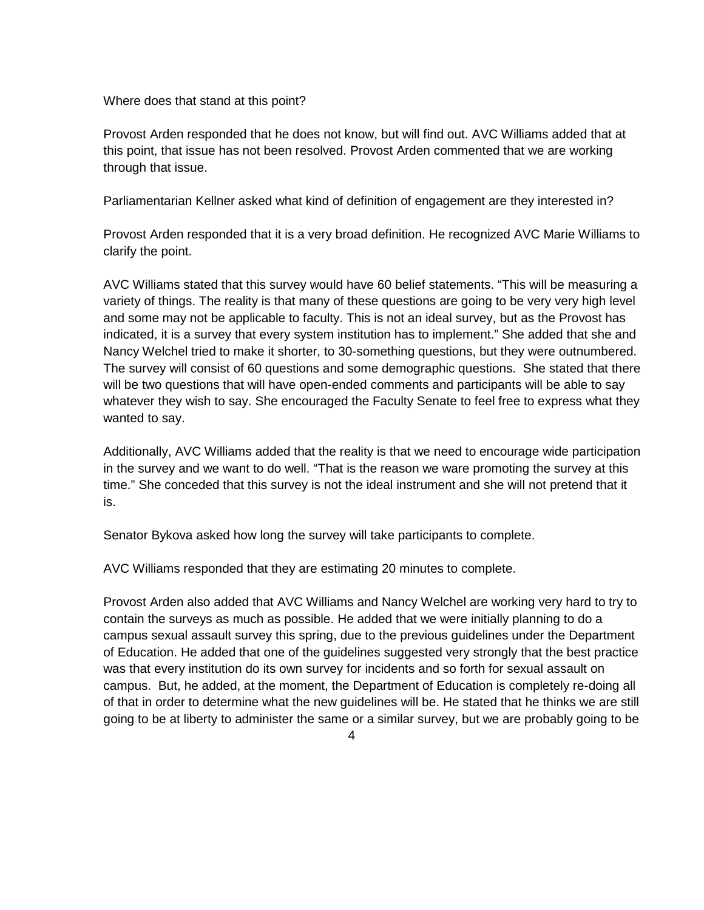Where does that stand at this point?

Provost Arden responded that he does not know, but will find out. AVC Williams added that at this point, that issue has not been resolved. Provost Arden commented that we are working through that issue.

Parliamentarian Kellner asked what kind of definition of engagement are they interested in?

Provost Arden responded that it is a very broad definition. He recognized AVC Marie Williams to clarify the point.

AVC Williams stated that this survey would have 60 belief statements. "This will be measuring a variety of things. The reality is that many of these questions are going to be very very high level and some may not be applicable to faculty. This is not an ideal survey, but as the Provost has indicated, it is a survey that every system institution has to implement." She added that she and Nancy Welchel tried to make it shorter, to 30-something questions, but they were outnumbered. The survey will consist of 60 questions and some demographic questions. She stated that there will be two questions that will have open-ended comments and participants will be able to say whatever they wish to say. She encouraged the Faculty Senate to feel free to express what they wanted to say.

Additionally, AVC Williams added that the reality is that we need to encourage wide participation in the survey and we want to do well. "That is the reason we ware promoting the survey at this time." She conceded that this survey is not the ideal instrument and she will not pretend that it is.

Senator Bykova asked how long the survey will take participants to complete.

AVC Williams responded that they are estimating 20 minutes to complete.

Provost Arden also added that AVC Williams and Nancy Welchel are working very hard to try to contain the surveys as much as possible. He added that we were initially planning to do a campus sexual assault survey this spring, due to the previous guidelines under the Department of Education. He added that one of the guidelines suggested very strongly that the best practice was that every institution do its own survey for incidents and so forth for sexual assault on campus. But, he added, at the moment, the Department of Education is completely re-doing all of that in order to determine what the new guidelines will be. He stated that he thinks we are still going to be at liberty to administer the same or a similar survey, but we are probably going to be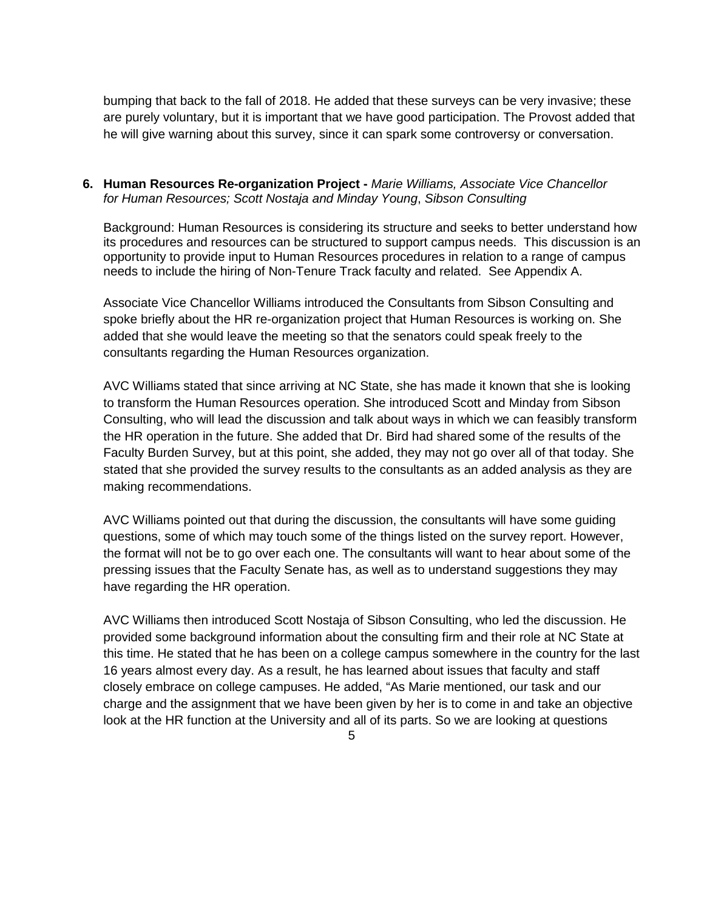bumping that back to the fall of 2018. He added that these surveys can be very invasive; these are purely voluntary, but it is important that we have good participation. The Provost added that he will give warning about this survey, since it can spark some controversy or conversation.

#### **6. Human Resources Re-organization Project -** *Marie Williams, Associate Vice Chancellor for Human Resources; Scott Nostaja and Minday Young*, *Sibson Consulting*

Background: Human Resources is considering its structure and seeks to better understand how its procedures and resources can be structured to support campus needs. This discussion is an opportunity to provide input to Human Resources procedures in relation to a range of campus needs to include the hiring of Non-Tenure Track faculty and related. See Appendix A.

Associate Vice Chancellor Williams introduced the Consultants from Sibson Consulting and spoke briefly about the HR re-organization project that Human Resources is working on. She added that she would leave the meeting so that the senators could speak freely to the consultants regarding the Human Resources organization.

AVC Williams stated that since arriving at NC State, she has made it known that she is looking to transform the Human Resources operation. She introduced Scott and Minday from Sibson Consulting, who will lead the discussion and talk about ways in which we can feasibly transform the HR operation in the future. She added that Dr. Bird had shared some of the results of the Faculty Burden Survey, but at this point, she added, they may not go over all of that today. She stated that she provided the survey results to the consultants as an added analysis as they are making recommendations.

AVC Williams pointed out that during the discussion, the consultants will have some guiding questions, some of which may touch some of the things listed on the survey report. However, the format will not be to go over each one. The consultants will want to hear about some of the pressing issues that the Faculty Senate has, as well as to understand suggestions they may have regarding the HR operation.

AVC Williams then introduced Scott Nostaja of Sibson Consulting, who led the discussion. He provided some background information about the consulting firm and their role at NC State at this time. He stated that he has been on a college campus somewhere in the country for the last 16 years almost every day. As a result, he has learned about issues that faculty and staff closely embrace on college campuses. He added, "As Marie mentioned, our task and our charge and the assignment that we have been given by her is to come in and take an objective look at the HR function at the University and all of its parts. So we are looking at questions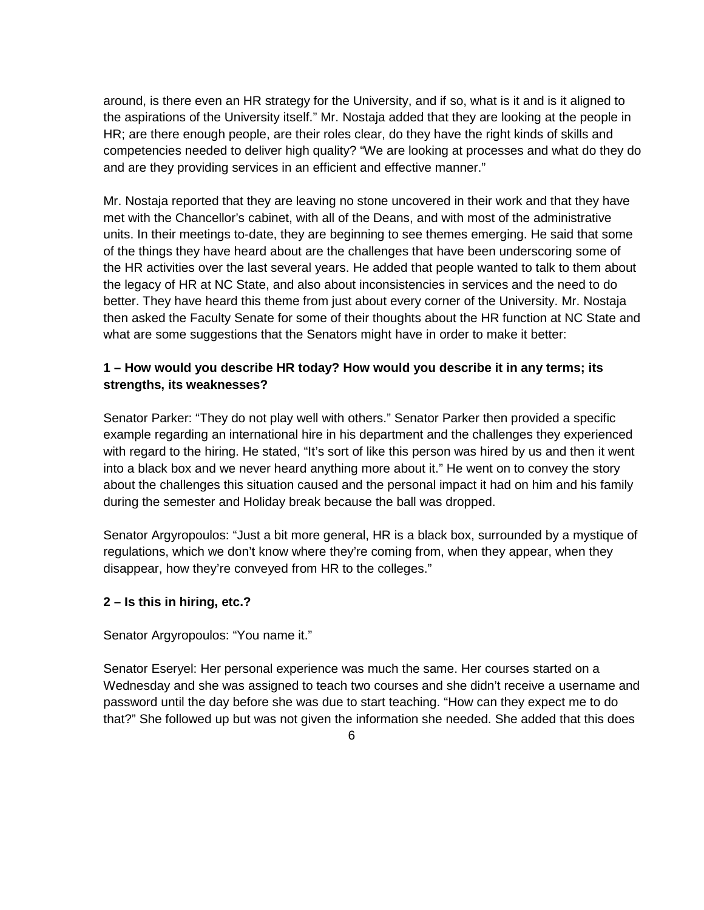around, is there even an HR strategy for the University, and if so, what is it and is it aligned to the aspirations of the University itself." Mr. Nostaja added that they are looking at the people in HR; are there enough people, are their roles clear, do they have the right kinds of skills and competencies needed to deliver high quality? "We are looking at processes and what do they do and are they providing services in an efficient and effective manner."

Mr. Nostaja reported that they are leaving no stone uncovered in their work and that they have met with the Chancellor's cabinet, with all of the Deans, and with most of the administrative units. In their meetings to-date, they are beginning to see themes emerging. He said that some of the things they have heard about are the challenges that have been underscoring some of the HR activities over the last several years. He added that people wanted to talk to them about the legacy of HR at NC State, and also about inconsistencies in services and the need to do better. They have heard this theme from just about every corner of the University. Mr. Nostaja then asked the Faculty Senate for some of their thoughts about the HR function at NC State and what are some suggestions that the Senators might have in order to make it better:

# **1 – How would you describe HR today? How would you describe it in any terms; its strengths, its weaknesses?**

Senator Parker: "They do not play well with others." Senator Parker then provided a specific example regarding an international hire in his department and the challenges they experienced with regard to the hiring. He stated, "It's sort of like this person was hired by us and then it went into a black box and we never heard anything more about it." He went on to convey the story about the challenges this situation caused and the personal impact it had on him and his family during the semester and Holiday break because the ball was dropped.

Senator Argyropoulos: "Just a bit more general, HR is a black box, surrounded by a mystique of regulations, which we don't know where they're coming from, when they appear, when they disappear, how they're conveyed from HR to the colleges."

# **2 – Is this in hiring, etc.?**

#### Senator Argyropoulos: "You name it."

Senator Eseryel: Her personal experience was much the same. Her courses started on a Wednesday and she was assigned to teach two courses and she didn't receive a username and password until the day before she was due to start teaching. "How can they expect me to do that?" She followed up but was not given the information she needed. She added that this does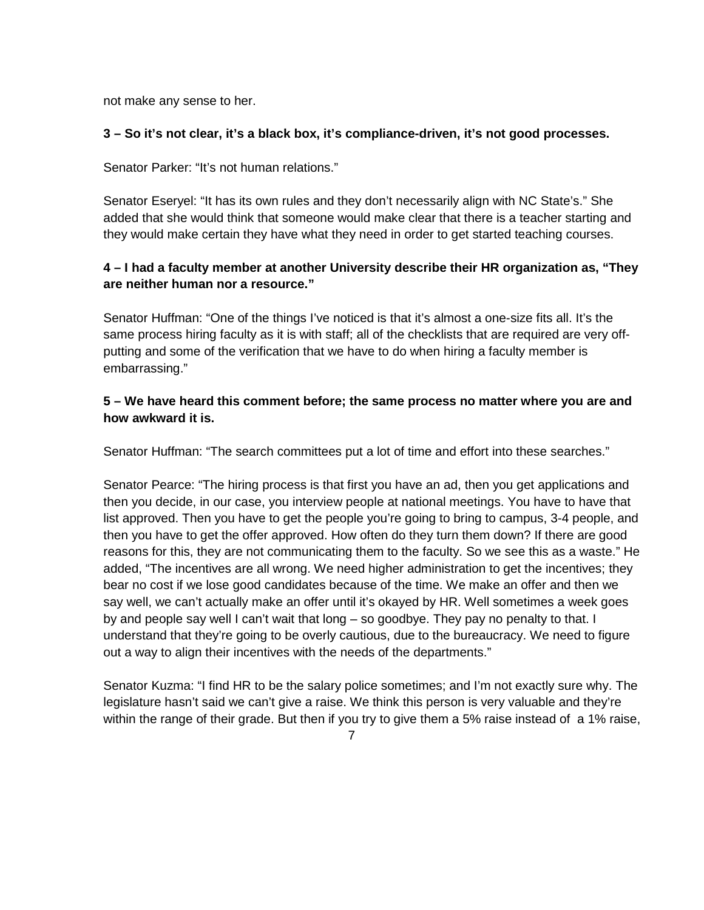not make any sense to her.

## **3 – So it's not clear, it's a black box, it's compliance-driven, it's not good processes.**

Senator Parker: "It's not human relations."

Senator Eseryel: "It has its own rules and they don't necessarily align with NC State's." She added that she would think that someone would make clear that there is a teacher starting and they would make certain they have what they need in order to get started teaching courses.

# **4 – I had a faculty member at another University describe their HR organization as, "They are neither human nor a resource."**

Senator Huffman: "One of the things I've noticed is that it's almost a one-size fits all. It's the same process hiring faculty as it is with staff; all of the checklists that are required are very offputting and some of the verification that we have to do when hiring a faculty member is embarrassing."

# **5 – We have heard this comment before; the same process no matter where you are and how awkward it is.**

Senator Huffman: "The search committees put a lot of time and effort into these searches."

Senator Pearce: "The hiring process is that first you have an ad, then you get applications and then you decide, in our case, you interview people at national meetings. You have to have that list approved. Then you have to get the people you're going to bring to campus, 3-4 people, and then you have to get the offer approved. How often do they turn them down? If there are good reasons for this, they are not communicating them to the faculty. So we see this as a waste." He added, "The incentives are all wrong. We need higher administration to get the incentives; they bear no cost if we lose good candidates because of the time. We make an offer and then we say well, we can't actually make an offer until it's okayed by HR. Well sometimes a week goes by and people say well I can't wait that long – so goodbye. They pay no penalty to that. I understand that they're going to be overly cautious, due to the bureaucracy. We need to figure out a way to align their incentives with the needs of the departments."

Senator Kuzma: "I find HR to be the salary police sometimes; and I'm not exactly sure why. The legislature hasn't said we can't give a raise. We think this person is very valuable and they're within the range of their grade. But then if you try to give them a 5% raise instead of a 1% raise,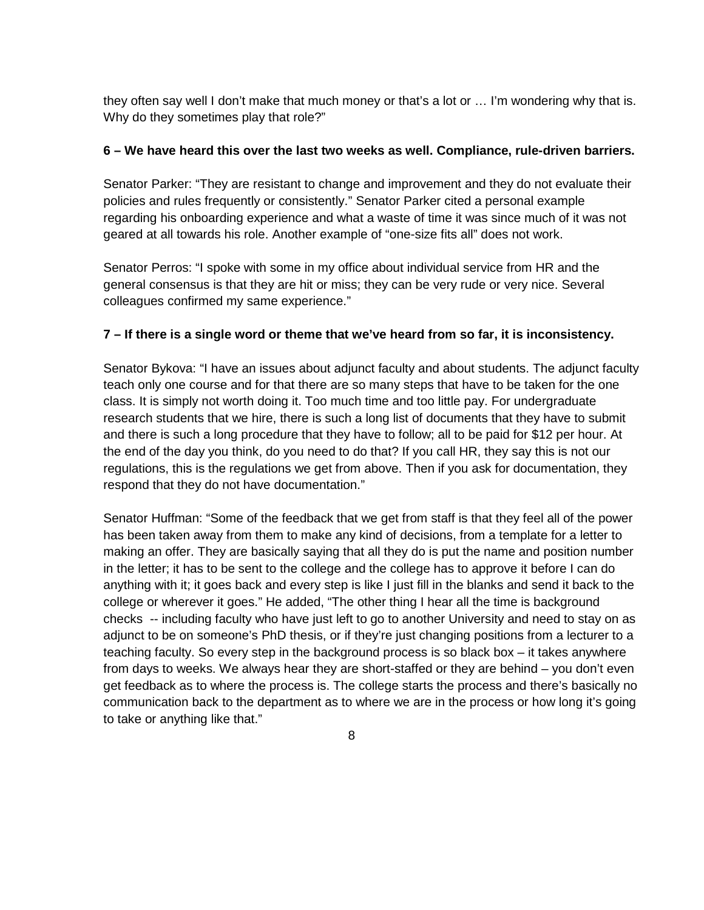they often say well I don't make that much money or that's a lot or … I'm wondering why that is. Why do they sometimes play that role?"

## **6 – We have heard this over the last two weeks as well. Compliance, rule-driven barriers.**

Senator Parker: "They are resistant to change and improvement and they do not evaluate their policies and rules frequently or consistently." Senator Parker cited a personal example regarding his onboarding experience and what a waste of time it was since much of it was not geared at all towards his role. Another example of "one-size fits all" does not work.

Senator Perros: "I spoke with some in my office about individual service from HR and the general consensus is that they are hit or miss; they can be very rude or very nice. Several colleagues confirmed my same experience."

## **7 – If there is a single word or theme that we've heard from so far, it is inconsistency.**

Senator Bykova: "I have an issues about adjunct faculty and about students. The adjunct faculty teach only one course and for that there are so many steps that have to be taken for the one class. It is simply not worth doing it. Too much time and too little pay. For undergraduate research students that we hire, there is such a long list of documents that they have to submit and there is such a long procedure that they have to follow; all to be paid for \$12 per hour. At the end of the day you think, do you need to do that? If you call HR, they say this is not our regulations, this is the regulations we get from above. Then if you ask for documentation, they respond that they do not have documentation."

Senator Huffman: "Some of the feedback that we get from staff is that they feel all of the power has been taken away from them to make any kind of decisions, from a template for a letter to making an offer. They are basically saying that all they do is put the name and position number in the letter; it has to be sent to the college and the college has to approve it before I can do anything with it; it goes back and every step is like I just fill in the blanks and send it back to the college or wherever it goes." He added, "The other thing I hear all the time is background checks -- including faculty who have just left to go to another University and need to stay on as adjunct to be on someone's PhD thesis, or if they're just changing positions from a lecturer to a teaching faculty. So every step in the background process is so black box – it takes anywhere from days to weeks. We always hear they are short-staffed or they are behind – you don't even get feedback as to where the process is. The college starts the process and there's basically no communication back to the department as to where we are in the process or how long it's going to take or anything like that."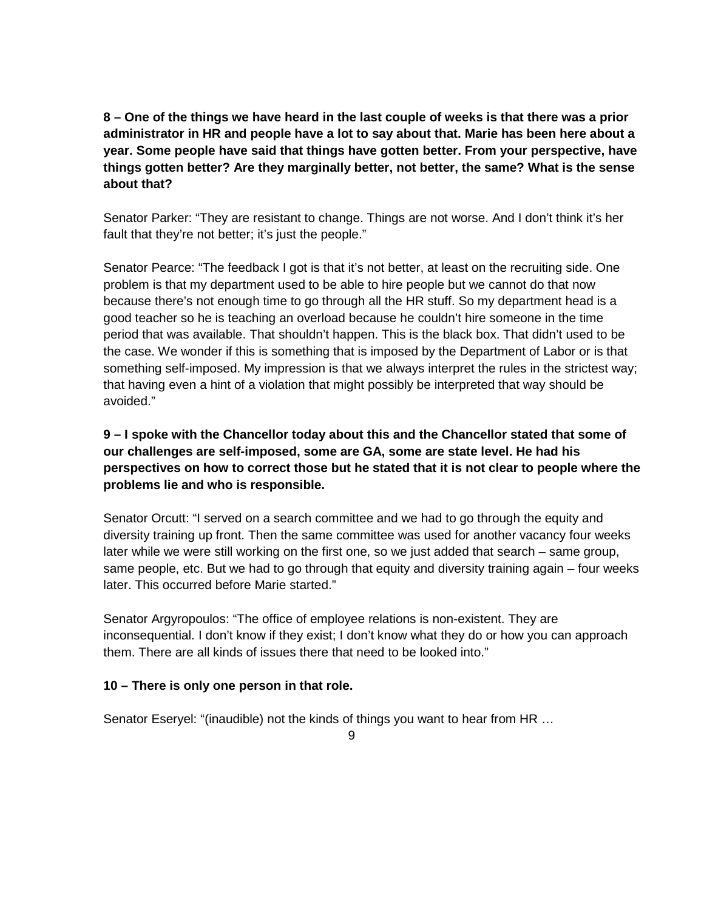**8 – One of the things we have heard in the last couple of weeks is that there was a prior administrator in HR and people have a lot to say about that. Marie has been here about a year. Some people have said that things have gotten better. From your perspective, have things gotten better? Are they marginally better, not better, the same? What is the sense about that?**

Senator Parker: "They are resistant to change. Things are not worse. And I don't think it's her fault that they're not better; it's just the people."

Senator Pearce: "The feedback I got is that it's not better, at least on the recruiting side. One problem is that my department used to be able to hire people but we cannot do that now because there's not enough time to go through all the HR stuff. So my department head is a good teacher so he is teaching an overload because he couldn't hire someone in the time period that was available. That shouldn't happen. This is the black box. That didn't used to be the case. We wonder if this is something that is imposed by the Department of Labor or is that something self-imposed. My impression is that we always interpret the rules in the strictest way; that having even a hint of a violation that might possibly be interpreted that way should be avoided."

**9 – I spoke with the Chancellor today about this and the Chancellor stated that some of our challenges are self-imposed, some are GA, some are state level. He had his perspectives on how to correct those but he stated that it is not clear to people where the problems lie and who is responsible.** 

Senator Orcutt: "I served on a search committee and we had to go through the equity and diversity training up front. Then the same committee was used for another vacancy four weeks later while we were still working on the first one, so we just added that search – same group, same people, etc. But we had to go through that equity and diversity training again – four weeks later. This occurred before Marie started."

Senator Argyropoulos: "The office of employee relations is non-existent. They are inconsequential. I don't know if they exist; I don't know what they do or how you can approach them. There are all kinds of issues there that need to be looked into."

# **10 – There is only one person in that role.**

Senator Eseryel: "(inaudible) not the kinds of things you want to hear from HR …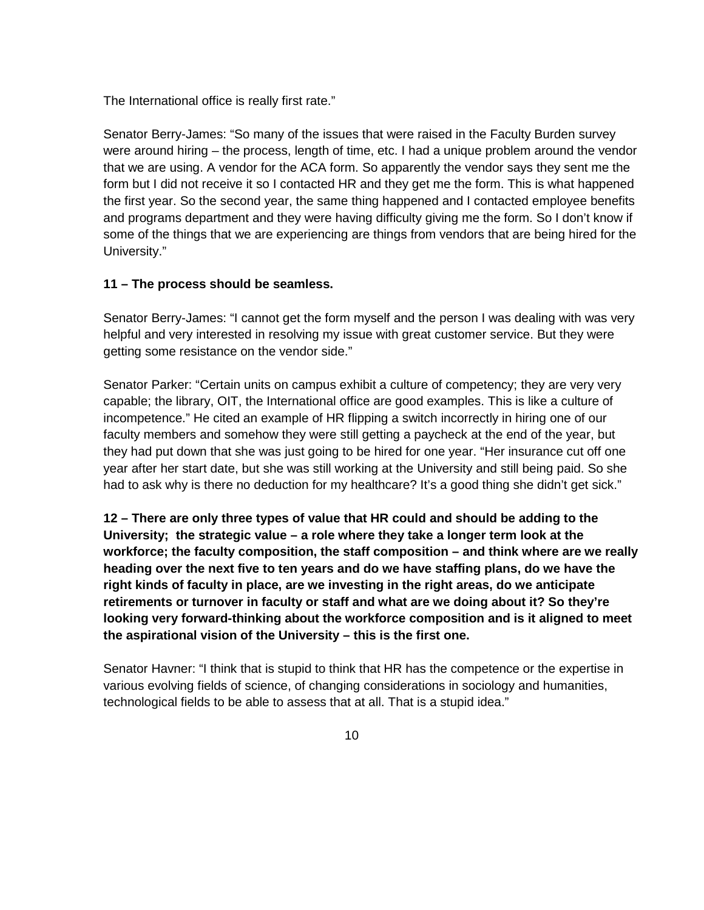The International office is really first rate."

Senator Berry-James: "So many of the issues that were raised in the Faculty Burden survey were around hiring – the process, length of time, etc. I had a unique problem around the vendor that we are using. A vendor for the ACA form. So apparently the vendor says they sent me the form but I did not receive it so I contacted HR and they get me the form. This is what happened the first year. So the second year, the same thing happened and I contacted employee benefits and programs department and they were having difficulty giving me the form. So I don't know if some of the things that we are experiencing are things from vendors that are being hired for the University."

## **11 – The process should be seamless.**

Senator Berry-James: "I cannot get the form myself and the person I was dealing with was very helpful and very interested in resolving my issue with great customer service. But they were getting some resistance on the vendor side."

Senator Parker: "Certain units on campus exhibit a culture of competency; they are very very capable; the library, OIT, the International office are good examples. This is like a culture of incompetence." He cited an example of HR flipping a switch incorrectly in hiring one of our faculty members and somehow they were still getting a paycheck at the end of the year, but they had put down that she was just going to be hired for one year. "Her insurance cut off one year after her start date, but she was still working at the University and still being paid. So she had to ask why is there no deduction for my healthcare? It's a good thing she didn't get sick."

**12 – There are only three types of value that HR could and should be adding to the University; the strategic value – a role where they take a longer term look at the workforce; the faculty composition, the staff composition – and think where are we really heading over the next five to ten years and do we have staffing plans, do we have the right kinds of faculty in place, are we investing in the right areas, do we anticipate retirements or turnover in faculty or staff and what are we doing about it? So they're looking very forward-thinking about the workforce composition and is it aligned to meet the aspirational vision of the University – this is the first one.** 

Senator Havner: "I think that is stupid to think that HR has the competence or the expertise in various evolving fields of science, of changing considerations in sociology and humanities, technological fields to be able to assess that at all. That is a stupid idea."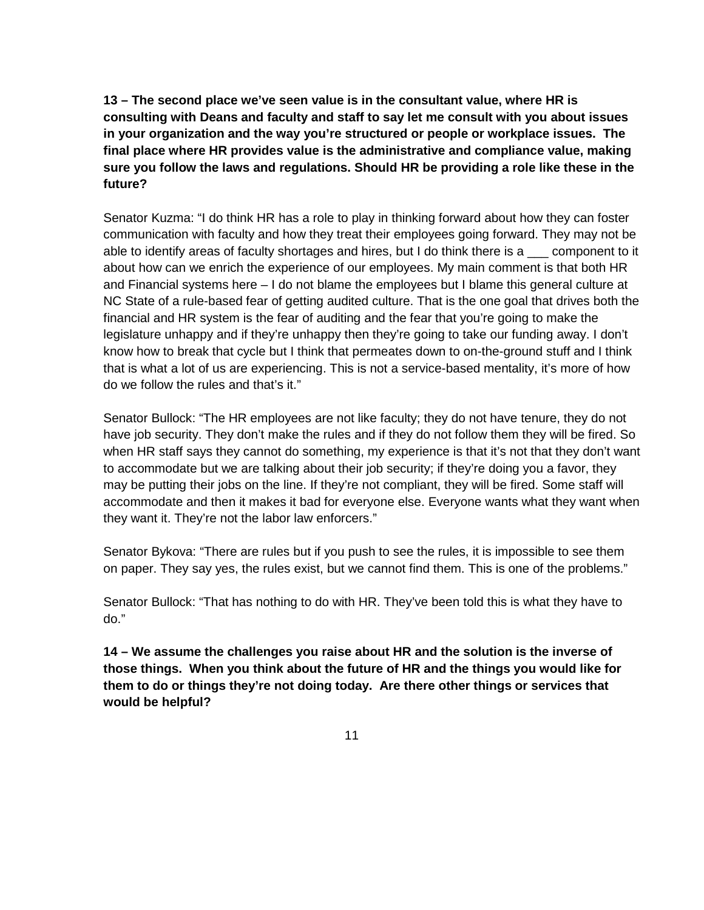**13 – The second place we've seen value is in the consultant value, where HR is consulting with Deans and faculty and staff to say let me consult with you about issues in your organization and the way you're structured or people or workplace issues. The final place where HR provides value is the administrative and compliance value, making sure you follow the laws and regulations. Should HR be providing a role like these in the future?**

Senator Kuzma: "I do think HR has a role to play in thinking forward about how they can foster communication with faculty and how they treat their employees going forward. They may not be able to identify areas of faculty shortages and hires, but I do think there is a  $\_\_$  component to it about how can we enrich the experience of our employees. My main comment is that both HR and Financial systems here – I do not blame the employees but I blame this general culture at NC State of a rule-based fear of getting audited culture. That is the one goal that drives both the financial and HR system is the fear of auditing and the fear that you're going to make the legislature unhappy and if they're unhappy then they're going to take our funding away. I don't know how to break that cycle but I think that permeates down to on-the-ground stuff and I think that is what a lot of us are experiencing. This is not a service-based mentality, it's more of how do we follow the rules and that's it."

Senator Bullock: "The HR employees are not like faculty; they do not have tenure, they do not have job security. They don't make the rules and if they do not follow them they will be fired. So when HR staff says they cannot do something, my experience is that it's not that they don't want to accommodate but we are talking about their job security; if they're doing you a favor, they may be putting their jobs on the line. If they're not compliant, they will be fired. Some staff will accommodate and then it makes it bad for everyone else. Everyone wants what they want when they want it. They're not the labor law enforcers."

Senator Bykova: "There are rules but if you push to see the rules, it is impossible to see them on paper. They say yes, the rules exist, but we cannot find them. This is one of the problems."

Senator Bullock: "That has nothing to do with HR. They've been told this is what they have to do."

**14 – We assume the challenges you raise about HR and the solution is the inverse of those things. When you think about the future of HR and the things you would like for them to do or things they're not doing today. Are there other things or services that would be helpful?**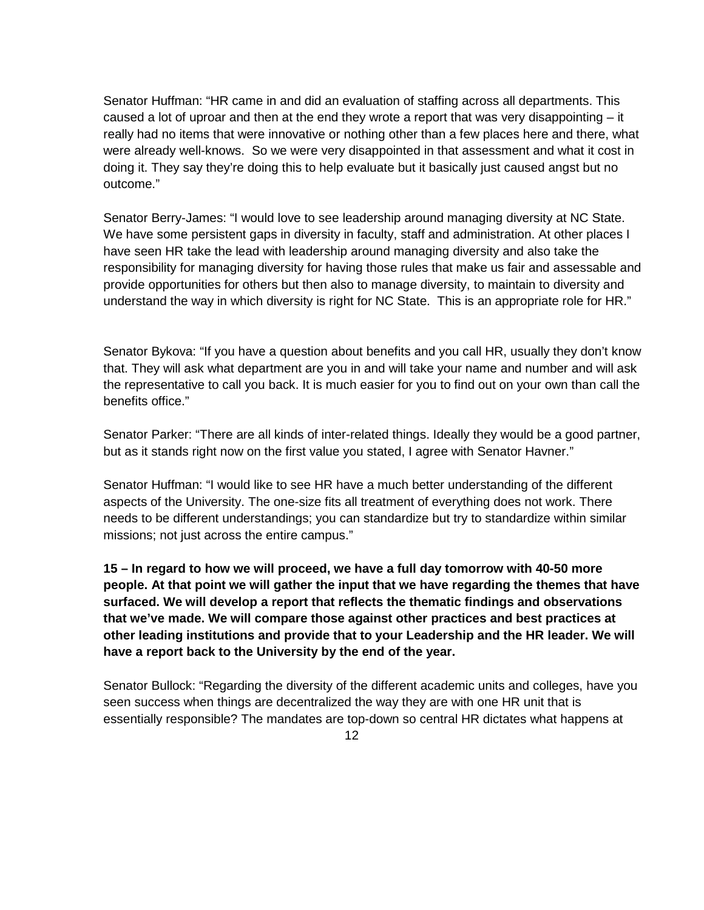Senator Huffman: "HR came in and did an evaluation of staffing across all departments. This caused a lot of uproar and then at the end they wrote a report that was very disappointing  $-$  it really had no items that were innovative or nothing other than a few places here and there, what were already well-knows. So we were very disappointed in that assessment and what it cost in doing it. They say they're doing this to help evaluate but it basically just caused angst but no outcome."

Senator Berry-James: "I would love to see leadership around managing diversity at NC State. We have some persistent gaps in diversity in faculty, staff and administration. At other places I have seen HR take the lead with leadership around managing diversity and also take the responsibility for managing diversity for having those rules that make us fair and assessable and provide opportunities for others but then also to manage diversity, to maintain to diversity and understand the way in which diversity is right for NC State. This is an appropriate role for HR."

Senator Bykova: "If you have a question about benefits and you call HR, usually they don't know that. They will ask what department are you in and will take your name and number and will ask the representative to call you back. It is much easier for you to find out on your own than call the benefits office."

Senator Parker: "There are all kinds of inter-related things. Ideally they would be a good partner, but as it stands right now on the first value you stated, I agree with Senator Havner."

Senator Huffman: "I would like to see HR have a much better understanding of the different aspects of the University. The one-size fits all treatment of everything does not work. There needs to be different understandings; you can standardize but try to standardize within similar missions; not just across the entire campus."

**15 – In regard to how we will proceed, we have a full day tomorrow with 40-50 more people. At that point we will gather the input that we have regarding the themes that have surfaced. We will develop a report that reflects the thematic findings and observations that we've made. We will compare those against other practices and best practices at other leading institutions and provide that to your Leadership and the HR leader. We will have a report back to the University by the end of the year.** 

Senator Bullock: "Regarding the diversity of the different academic units and colleges, have you seen success when things are decentralized the way they are with one HR unit that is essentially responsible? The mandates are top-down so central HR dictates what happens at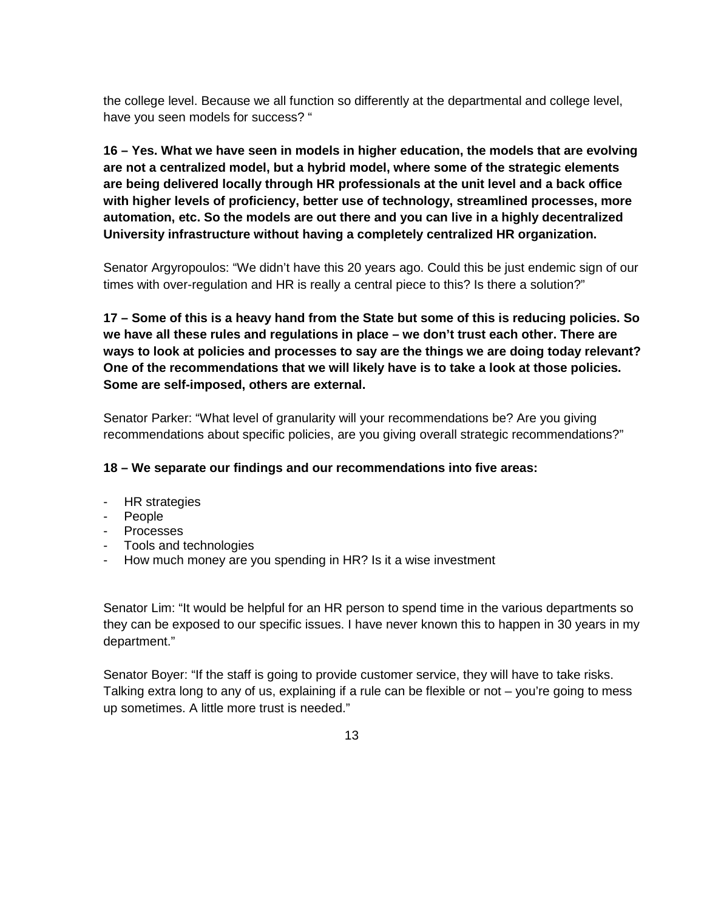the college level. Because we all function so differently at the departmental and college level, have you seen models for success? "

**16 – Yes. What we have seen in models in higher education, the models that are evolving are not a centralized model, but a hybrid model, where some of the strategic elements are being delivered locally through HR professionals at the unit level and a back office with higher levels of proficiency, better use of technology, streamlined processes, more automation, etc. So the models are out there and you can live in a highly decentralized University infrastructure without having a completely centralized HR organization.** 

Senator Argyropoulos: "We didn't have this 20 years ago. Could this be just endemic sign of our times with over-regulation and HR is really a central piece to this? Is there a solution?"

**17 – Some of this is a heavy hand from the State but some of this is reducing policies. So we have all these rules and regulations in place – we don't trust each other. There are ways to look at policies and processes to say are the things we are doing today relevant? One of the recommendations that we will likely have is to take a look at those policies. Some are self-imposed, others are external.**

Senator Parker: "What level of granularity will your recommendations be? Are you giving recommendations about specific policies, are you giving overall strategic recommendations?"

# **18 – We separate our findings and our recommendations into five areas:**

- HR strategies
- People
- Processes
- Tools and technologies
- How much money are you spending in HR? Is it a wise investment

Senator Lim: "It would be helpful for an HR person to spend time in the various departments so they can be exposed to our specific issues. I have never known this to happen in 30 years in my department."

Senator Boyer: "If the staff is going to provide customer service, they will have to take risks. Talking extra long to any of us, explaining if a rule can be flexible or not – you're going to mess up sometimes. A little more trust is needed."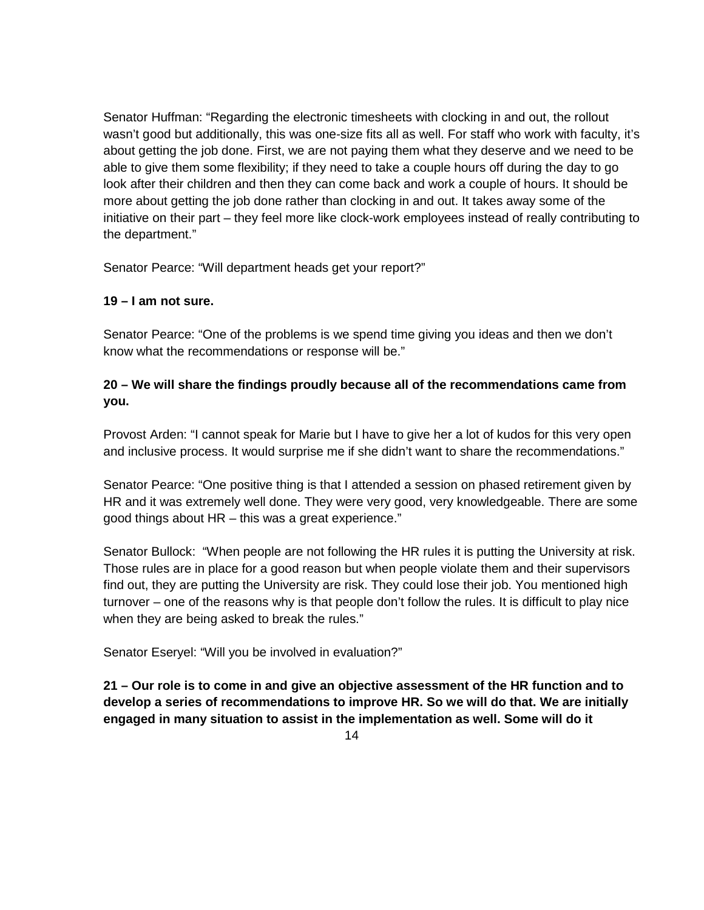Senator Huffman: "Regarding the electronic timesheets with clocking in and out, the rollout wasn't good but additionally, this was one-size fits all as well. For staff who work with faculty, it's about getting the job done. First, we are not paying them what they deserve and we need to be able to give them some flexibility; if they need to take a couple hours off during the day to go look after their children and then they can come back and work a couple of hours. It should be more about getting the job done rather than clocking in and out. It takes away some of the initiative on their part – they feel more like clock-work employees instead of really contributing to the department."

Senator Pearce: "Will department heads get your report?"

# **19 – I am not sure.**

Senator Pearce: "One of the problems is we spend time giving you ideas and then we don't know what the recommendations or response will be."

# **20 – We will share the findings proudly because all of the recommendations came from you.**

Provost Arden: "I cannot speak for Marie but I have to give her a lot of kudos for this very open and inclusive process. It would surprise me if she didn't want to share the recommendations."

Senator Pearce: "One positive thing is that I attended a session on phased retirement given by HR and it was extremely well done. They were very good, very knowledgeable. There are some good things about HR – this was a great experience."

Senator Bullock: "When people are not following the HR rules it is putting the University at risk. Those rules are in place for a good reason but when people violate them and their supervisors find out, they are putting the University are risk. They could lose their job. You mentioned high turnover – one of the reasons why is that people don't follow the rules. It is difficult to play nice when they are being asked to break the rules."

Senator Eseryel: "Will you be involved in evaluation?"

**21 – Our role is to come in and give an objective assessment of the HR function and to develop a series of recommendations to improve HR. So we will do that. We are initially engaged in many situation to assist in the implementation as well. Some will do it**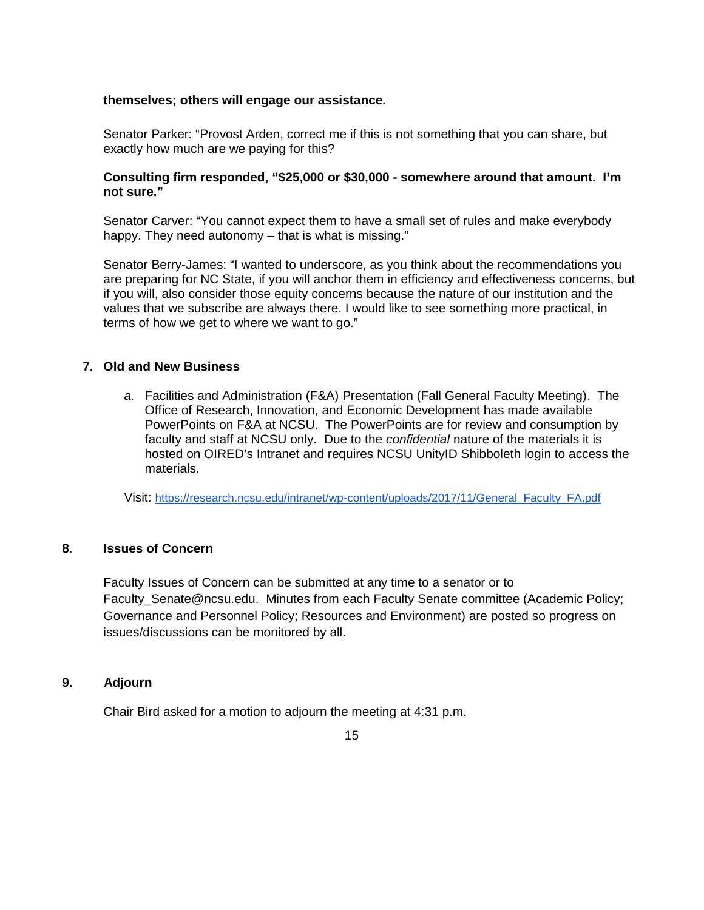#### **themselves; others will engage our assistance.**

Senator Parker: "Provost Arden, correct me if this is not something that you can share, but exactly how much are we paying for this?

#### **Consulting firm responded, "\$25,000 or \$30,000 - somewhere around that amount. I'm not sure."**

Senator Carver: "You cannot expect them to have a small set of rules and make everybody happy. They need autonomy – that is what is missing."

Senator Berry-James: "I wanted to underscore, as you think about the recommendations you are preparing for NC State, if you will anchor them in efficiency and effectiveness concerns, but if you will, also consider those equity concerns because the nature of our institution and the values that we subscribe are always there. I would like to see something more practical, in terms of how we get to where we want to go."

#### **7. Old and New Business**

*a.* Facilities and Administration (F&A) Presentation (Fall General Faculty Meeting). The Office of Research, Innovation, and Economic Development has made available PowerPoints on F&A at NCSU. The PowerPoints are for review and consumption by faculty and staff at NCSU only. Due to the *confidential* nature of the materials it is hosted on OIRED's Intranet and requires NCSU UnityID Shibboleth login to access the materials.

Visit: [https://research.ncsu.edu/intranet/wp-content/uploads/2017/11/General\\_Faculty\\_FA.pdf](https://research.ncsu.edu/intranet/wp-content/uploads/2017/11/General_Faculty_FA.pdf)

#### **8**. **Issues of Concern**

Faculty Issues of Concern can be submitted at any time to a senator or to Faculty\_Senate@ncsu.edu. Minutes from each Faculty Senate committee (Academic Policy; Governance and Personnel Policy; Resources and Environment) are posted so progress on issues/discussions can be monitored by all.

#### **9. Adjourn**

Chair Bird asked for a motion to adjourn the meeting at 4:31 p.m.